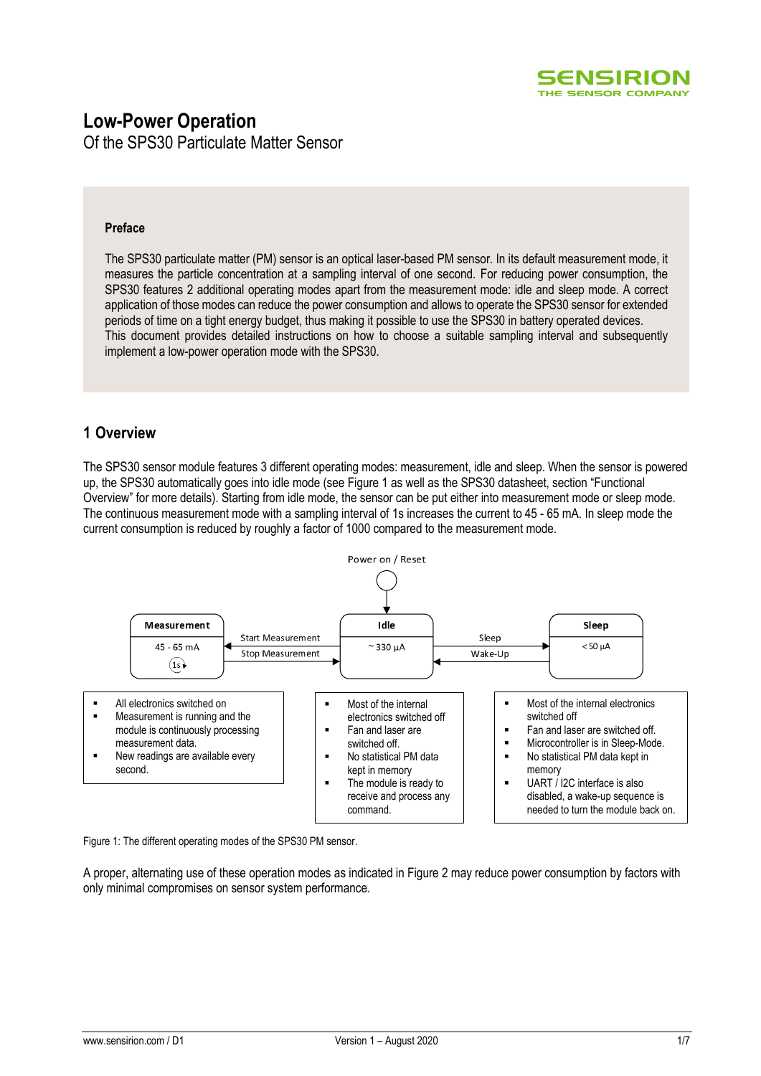

# **Low-Power Operation**

Of the SPS30 Particulate Matter Sensor

## **Preface**

The SPS30 particulate matter (PM) sensor is an optical laser-based PM sensor. In its default measurement mode, it measures the particle concentration at a sampling interval of one second. For reducing power consumption, the SPS30 features 2 additional operating modes apart from the measurement mode: idle and sleep mode. A correct application of those modes can reduce the power consumption and allows to operate the SPS30 sensor for extended periods of time on a tight energy budget, thus making it possible to use the SPS30 in battery operated devices. This document provides detailed instructions on how to choose a suitable sampling interval and subsequently implement a low-power operation mode with the SPS30.

# **1 Overview**

The SPS30 sensor module features 3 different operating modes: measurement, idle and sleep. When the sensor is powered up, the SPS30 automatically goes into idle mode (see [Figure 1](#page-0-0) as well as the SPS30 datasheet, section "Functional Overview" for more details). Starting from idle mode, the sensor can be put either into measurement mode or sleep mode. The continuous measurement mode with a sampling interval of 1s increases the current to 45 - 65 mA. In sleep mode the current consumption is reduced by roughly a factor of 1000 compared to the measurement mode.



<span id="page-0-0"></span>Figure 1: The different operating modes of the SPS30 PM sensor.

A proper, alternating use of these operation modes as indicated in [Figure 2](#page-1-0) may reduce power consumption by factors with only minimal compromises on sensor system performance.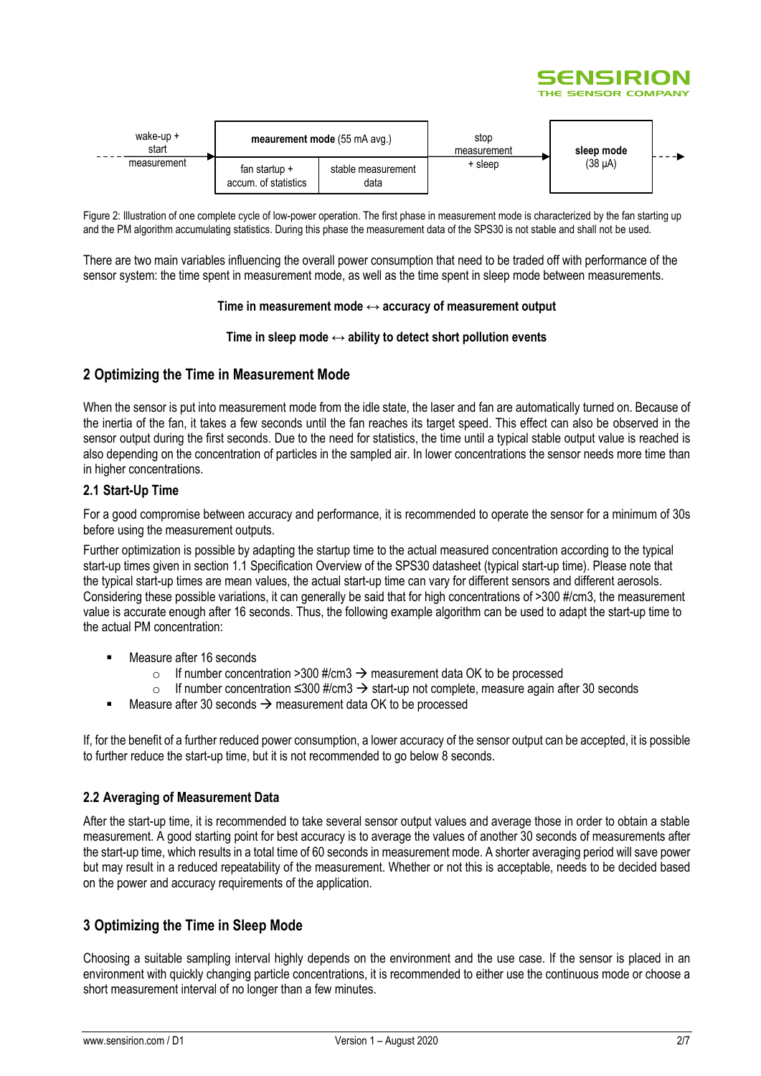

| wake-up +<br>start | meaurement mode (55 mA avg.)            |                            | stop<br>measurement | sleep mode |  |
|--------------------|-----------------------------------------|----------------------------|---------------------|------------|--|
| measurement        | fan startup $+$<br>accum, of statistics | stable measurement<br>data | + sleep             | (38 µA)    |  |

<span id="page-1-0"></span>Figure 2: Illustration of one complete cycle of low-power operation. The first phase in measurement mode is characterized by the fan starting up and the PM algorithm accumulating statistics. During this phase the measurement data of the SPS30 is not stable and shall not be used.

There are two main variables influencing the overall power consumption that need to be traded off with performance of the sensor system: the time spent in measurement mode, as well as the time spent in sleep mode between measurements.

#### **Time in measurement mode ↔ accuracy of measurement output**

#### **Time in sleep mode ↔ ability to detect short pollution events**

# **2 Optimizing the Time in Measurement Mode**

When the sensor is put into measurement mode from the idle state, the laser and fan are automatically turned on. Because of the inertia of the fan, it takes a few seconds until the fan reaches its target speed. This effect can also be observed in the sensor output during the first seconds. Due to the need for statistics, the time until a typical stable output value is reached is also depending on the concentration of particles in the sampled air. In lower concentrations the sensor needs more time than in higher concentrations.

## **2.1 Start-Up Time**

For a good compromise between accuracy and performance, it is recommended to operate the sensor for a minimum of 30s before using the measurement outputs.

Further optimization is possible by adapting the startup time to the actual measured concentration according to the typical start-up times given in section 1.1 Specification Overview of the SPS30 datasheet (typical start-up time). Please note that the typical start-up times are mean values, the actual start-up time can vary for different sensors and different aerosols. Considering these possible variations, it can generally be said that for high concentrations of >300 #/cm3, the measurement value is accurate enough after 16 seconds. Thus, the following example algorithm can be used to adapt the start-up time to the actual PM concentration:

- Measure after 16 seconds
	- o If number concentration >300 #/cm3  $\rightarrow$  measurement data OK to be processed
	- o If number concentration ≤300 #/cm3 → start-up not complete, measure again after 30 seconds
- Measure after 30 seconds  $\rightarrow$  measurement data OK to be processed

If, for the benefit of a further reduced power consumption, a lower accuracy of the sensor output can be accepted, it is possible to further reduce the start-up time, but it is not recommended to go below 8 seconds.

## **2.2 Averaging of Measurement Data**

After the start-up time, it is recommended to take several sensor output values and average those in order to obtain a stable measurement. A good starting point for best accuracy is to average the values of another 30 seconds of measurements after the start-up time, which results in a total time of 60 seconds in measurement mode. A shorter averaging period will save power but may result in a reduced repeatability of the measurement. Whether or not this is acceptable, needs to be decided based on the power and accuracy requirements of the application.

# **3 Optimizing the Time in Sleep Mode**

Choosing a suitable sampling interval highly depends on the environment and the use case. If the sensor is placed in an environment with quickly changing particle concentrations, it is recommended to either use the continuous mode or choose a short measurement interval of no longer than a few minutes.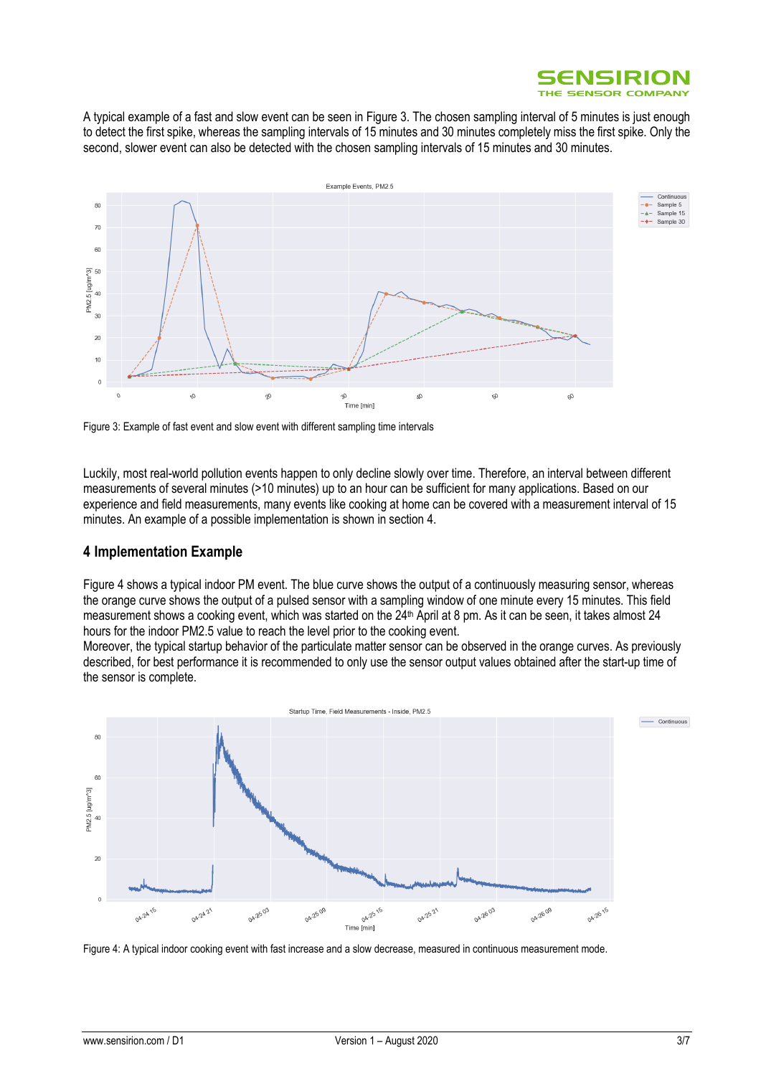

A typical example of a fast and slow event can be seen i[n Figure 3.](#page-2-0) The chosen sampling interval of 5 minutes is just enough to detect the first spike, whereas the sampling intervals of 15 minutes and 30 minutes completely miss the first spike. Only the second, slower event can also be detected with the chosen sampling intervals of 15 minutes and 30 minutes.



<span id="page-2-0"></span>Figure 3: Example of fast event and slow event with different sampling time intervals

Luckily, most real-world pollution events happen to only decline slowly over time. Therefore, an interval between different measurements of several minutes (>10 minutes) up to an hour can be sufficient for many applications. Based on our experience and field measurements, many events like cooking at home can be covered with a measurement interval of 15 minutes. An example of a possible implementation is shown in section [4.](#page-2-1)

# <span id="page-2-1"></span>**4 Implementation Example**

[Figure 4](#page-2-2) shows a typical indoor PM event. The blue curve shows the output of a continuously measuring sensor, whereas the orange curve shows the output of a pulsed sensor with a sampling window of one minute every 15 minutes. This field measurement shows a cooking event, which was started on the 24<sup>th</sup> April at 8 pm. As it can be seen, it takes almost 24 hours for the indoor PM2.5 value to reach the level prior to the cooking event.

Moreover, the typical startup behavior of the particulate matter sensor can be observed in the orange curves. As previously described, for best performance it is recommended to only use the sensor output values obtained after the start-up time of the sensor is complete.



<span id="page-2-2"></span>Figure 4: A typical indoor cooking event with fast increase and a slow decrease, measured in continuous measurement mode.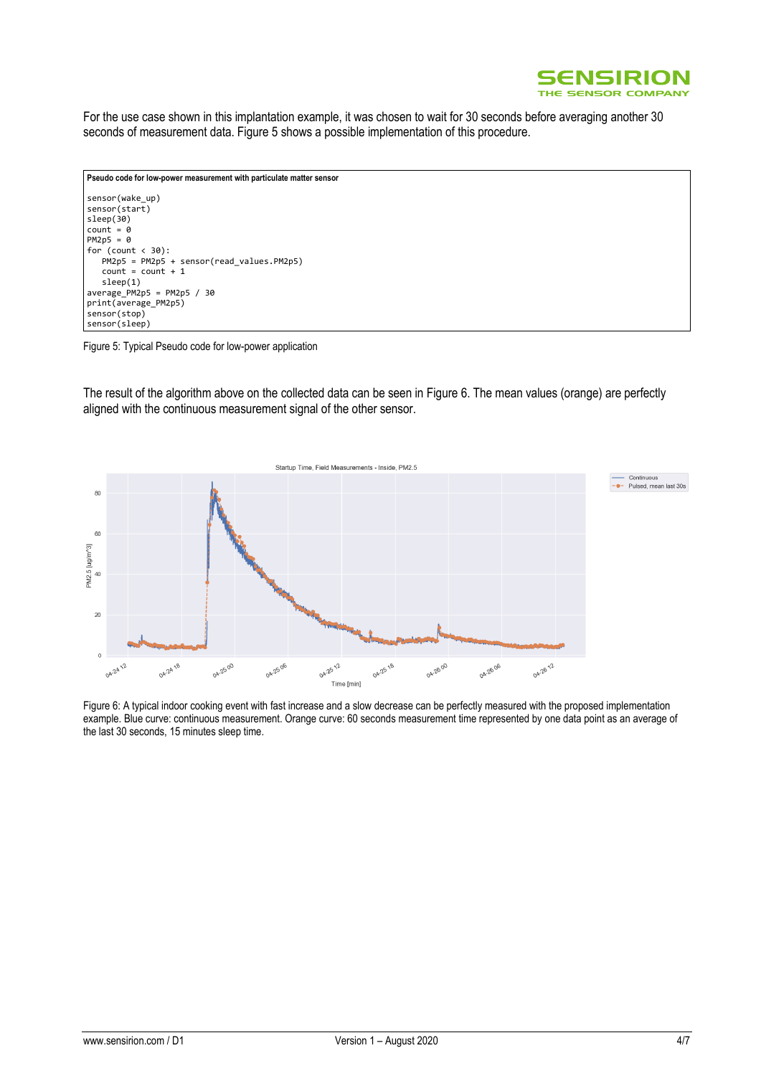

For the use case shown in this implantation example, it was chosen to wait for 30 seconds before averaging another 30 seconds of measurement data. [Figure 5](#page-3-0) shows a possible implementation of this procedure.

```
Pseudo code for low-power measurement with particulate matter sensor
sensor(wake_up)
sensor(start)
sleep(30)
count = 0PM2p5 = 0
for (count < 30):
    PM2p5 = PM2p5 + sensor(read_values.PM2p5)
   count = count + 1 sleep(1)
average_PM2p5 = PM2p5 / 30
print(average_PM2p5)
sensor(stop)
sensor(sleep)
```
#### <span id="page-3-0"></span>Figure 5: Typical Pseudo code for low-power application

The result of the algorithm above on the collected data can be seen in [Figure 6.](#page-3-1) The mean values (orange) are perfectly aligned with the continuous measurement signal of the other sensor.



<span id="page-3-1"></span>Figure 6: A typical indoor cooking event with fast increase and a slow decrease can be perfectly measured with the proposed implementation example. Blue curve: continuous measurement. Orange curve: 60 seconds measurement time represented by one data point as an average of the last 30 seconds, 15 minutes sleep time.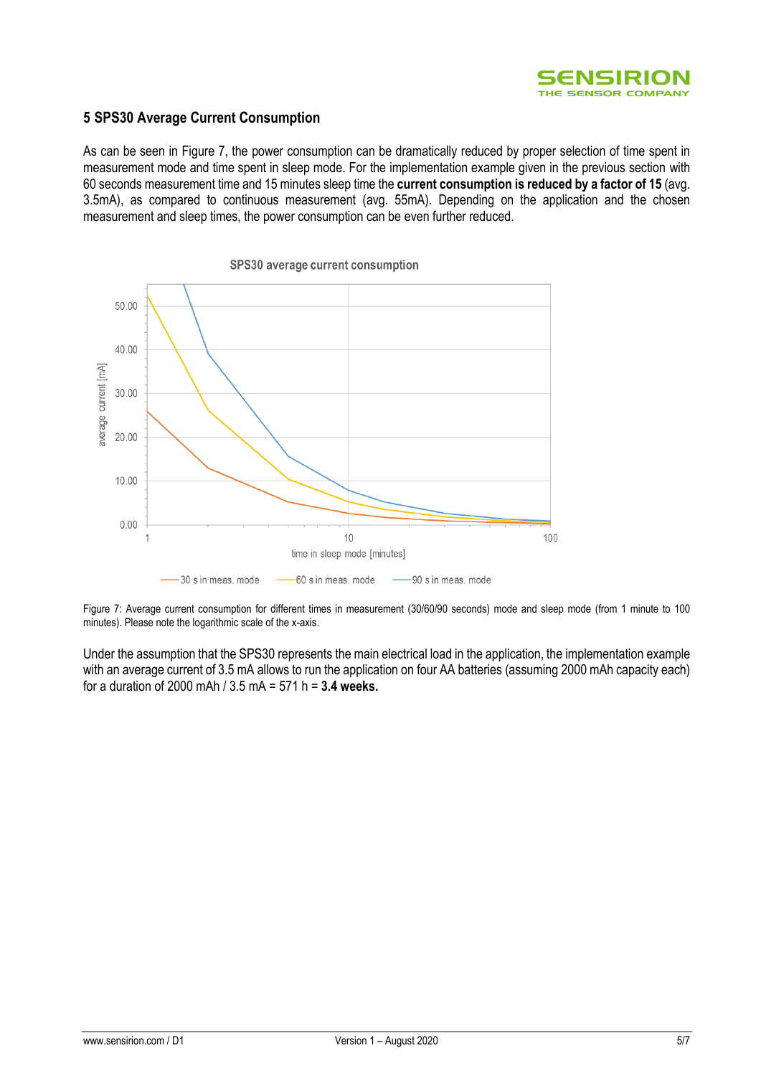

# **5 SPS30 Average Current Consumption**

As can be seen in [Figure 7,](#page-4-0) the power consumption can be dramatically reduced by proper selection of time spent in measurement mode and time spent in sleep mode. For the implementation example given in the previous section with 60 seconds measurement time and 15 minutes sleep time the **current consumption is reduced by a factor of 15** (avg. 3.5mA), as compared to continuous measurement (avg. 55mA). Depending on the application and the chosen measurement and sleep times, the power consumption can be even further reduced.



<span id="page-4-0"></span>Figure 7: Average current consumption for different times in measurement (30/60/90 seconds) mode and sleep mode (from 1 minute to 100 minutes). Please note the logarithmic scale of the x-axis.

Under the assumption that the SPS30 represents the main electrical load in the application, the implementation example with an average current of 3.5 mA allows to run the application on four AA batteries (assuming 2000 mAh capacity each) for a duration of 2000 mAh / 3.5 mA = 571 h = **3.4 weeks.**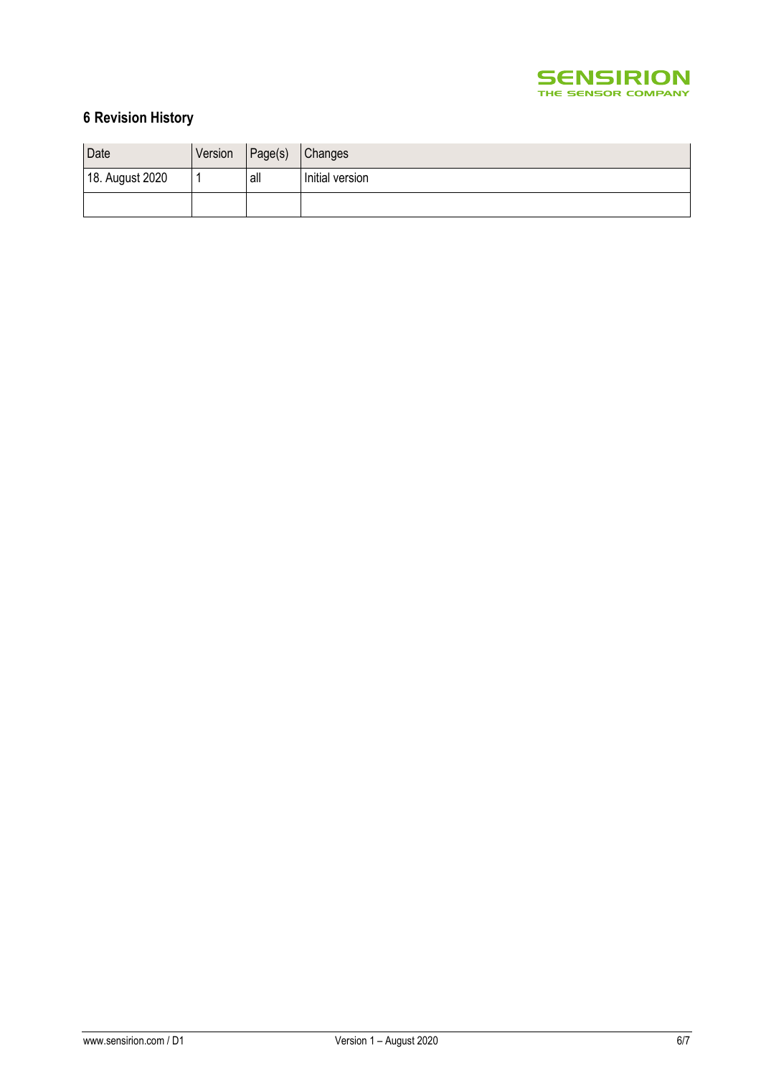

# **6 Revision History**

| Date            | Version | Page(s) | <b>Changes</b>  |
|-----------------|---------|---------|-----------------|
| 18. August 2020 |         | all     | Initial version |
|                 |         |         |                 |